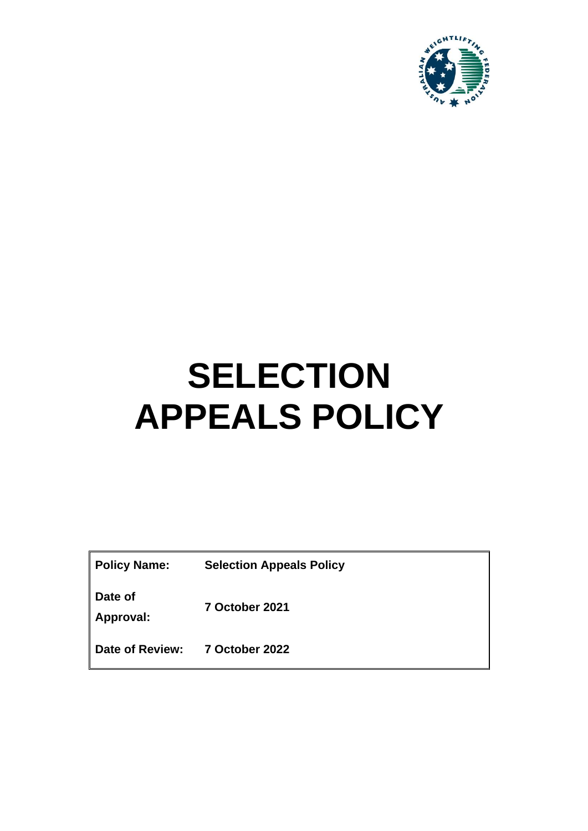

# **SELECTION APPEALS POLICY**

| <b>Policy Name:</b> | <b>Selection Appeals Policy</b> |
|---------------------|---------------------------------|
|                     |                                 |

**Date of** 

**Approval: 7 October 2021**

**Date of Review: 7 October 2022**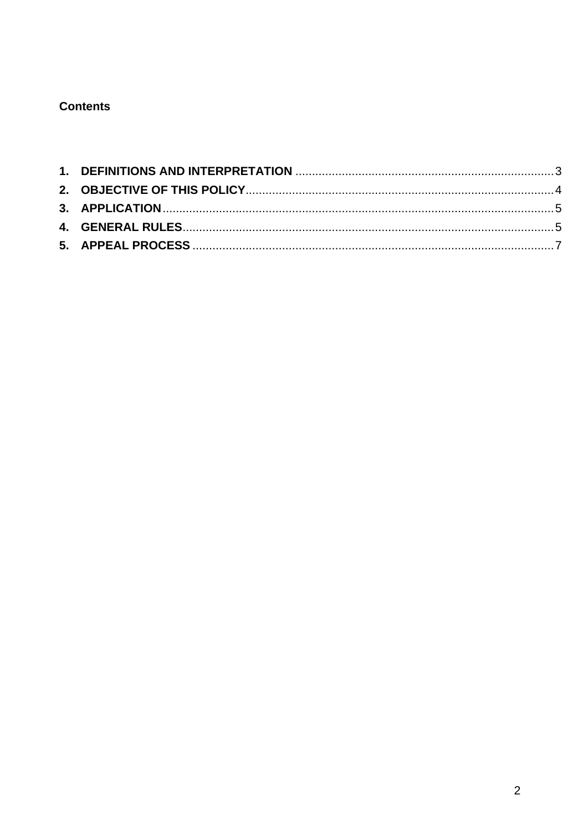## **Contents**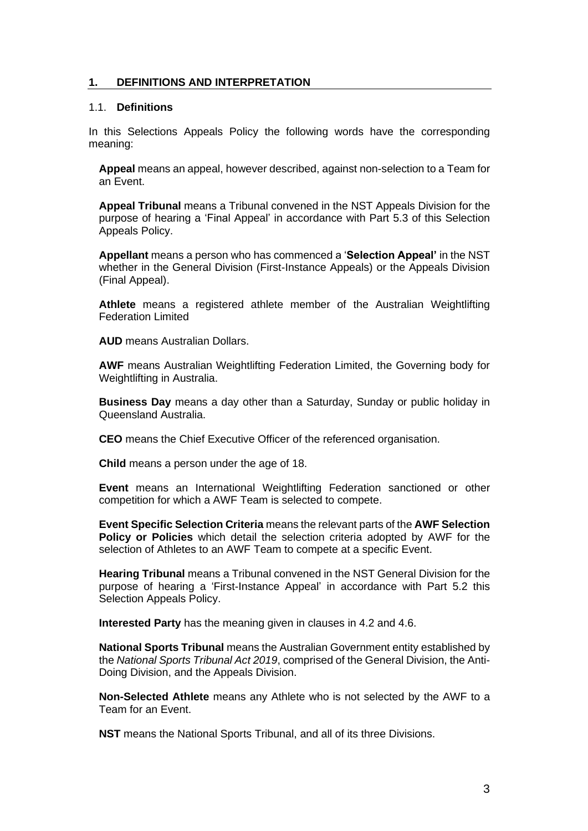## <span id="page-2-0"></span>**1. DEFINITIONS AND INTERPRETATION**

## 1.1. **Definitions**

In this Selections Appeals Policy the following words have the corresponding meaning:

**Appeal** means an appeal, however described, against non-selection to a Team for an Event.

**Appeal Tribunal** means a Tribunal convened in the NST Appeals Division for the purpose of hearing a 'Final Appeal' in accordance with Part 5.3 of this Selection Appeals Policy.

**Appellant** means a person who has commenced a '**Selection Appeal'** in the NST whether in the General Division (First-Instance Appeals) or the Appeals Division (Final Appeal).

**Athlete** means a registered athlete member of the Australian Weightlifting Federation Limited

**AUD** means Australian Dollars.

**AWF** means Australian Weightlifting Federation Limited, the Governing body for Weightlifting in Australia.

**Business Day** means a day other than a Saturday, Sunday or public holiday in Queensland Australia.

**CEO** means the Chief Executive Officer of the referenced organisation.

**Child** means a person under the age of 18.

**Event** means an International Weightlifting Federation sanctioned or other competition for which a AWF Team is selected to compete.

**Event Specific Selection Criteria** means the relevant parts of the **AWF Selection Policy or Policies** which detail the selection criteria adopted by AWF for the selection of Athletes to an AWF Team to compete at a specific Event.

**Hearing Tribunal** means a Tribunal convened in the NST General Division for the purpose of hearing a 'First-Instance Appeal' in accordance with Part 5.2 this Selection Appeals Policy.

**Interested Party** has the meaning given in clauses in 4.2 and 4.6.

**National Sports Tribunal** means the Australian Government entity established by the *National Sports Tribunal Act 2019*, comprised of the General Division, the Anti-Doing Division, and the Appeals Division.

**Non-Selected Athlete** means any Athlete who is not selected by the AWF to a Team for an Event.

**NST** means the National Sports Tribunal, and all of its three Divisions.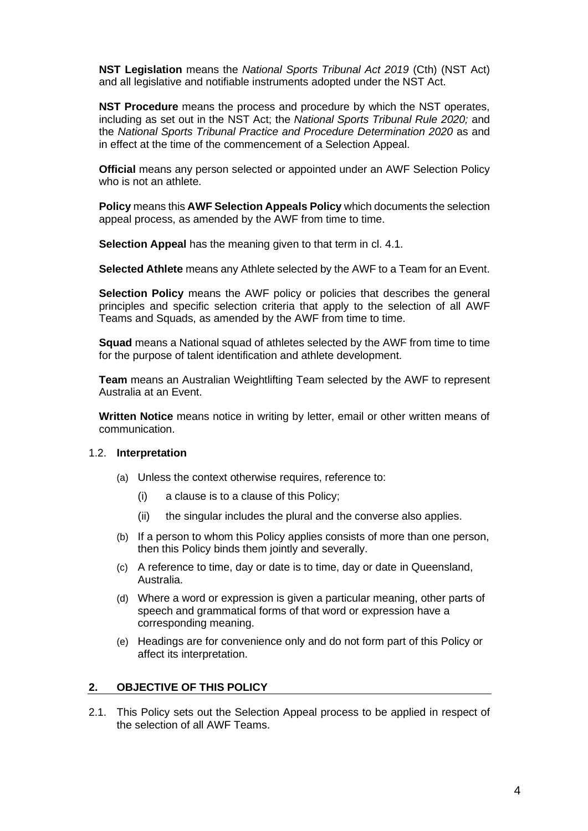**NST Legislation** means the *National Sports Tribunal Act 2019* (Cth) (NST Act) and all legislative and notifiable instruments adopted under the NST Act.

**NST Procedure** means the process and procedure by which the NST operates, including as set out in the NST Act; the *National Sports Tribunal Rule 2020;* and the *National Sports Tribunal Practice and Procedure Determination 2020* as and in effect at the time of the commencement of a Selection Appeal.

**Official** means any person selected or appointed under an AWF Selection Policy who is not an athlete.

**Policy** means this **AWF Selection Appeals Policy** which documents the selection appeal process, as amended by the AWF from time to time.

**Selection Appeal** has the meaning given to that term in cl. 4.1.

**Selected Athlete** means any Athlete selected by the AWF to a Team for an Event.

**Selection Policy** means the AWF policy or policies that describes the general principles and specific selection criteria that apply to the selection of all AWF Teams and Squads, as amended by the AWF from time to time.

**Squad** means a National squad of athletes selected by the AWF from time to time for the purpose of talent identification and athlete development.

**Team** means an Australian Weightlifting Team selected by the AWF to represent Australia at an Event.

**Written Notice** means notice in writing by letter, email or other written means of communication.

#### 1.2. **Interpretation**

- (a) Unless the context otherwise requires, reference to:
	- (i) a clause is to a clause of this Policy;
	- (ii) the singular includes the plural and the converse also applies.
- (b) If a person to whom this Policy applies consists of more than one person, then this Policy binds them jointly and severally.
- (c) A reference to time, day or date is to time, day or date in Queensland, Australia.
- (d) Where a word or expression is given a particular meaning, other parts of speech and grammatical forms of that word or expression have a corresponding meaning.
- (e) Headings are for convenience only and do not form part of this Policy or affect its interpretation.

#### <span id="page-3-0"></span>**2. OBJECTIVE OF THIS POLICY**

2.1. This Policy sets out the Selection Appeal process to be applied in respect of the selection of all AWF Teams.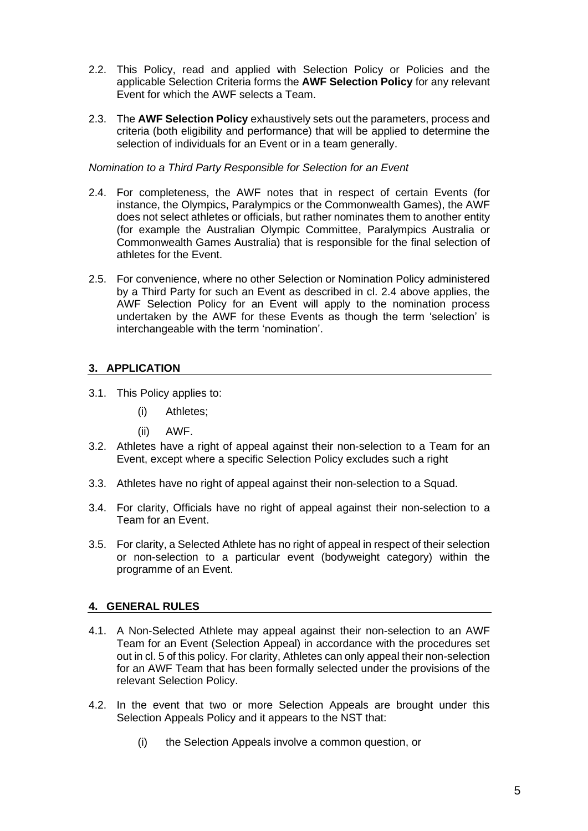- 2.2. This Policy, read and applied with Selection Policy or Policies and the applicable Selection Criteria forms the **AWF Selection Policy** for any relevant Event for which the AWF selects a Team.
- 2.3. The **AWF Selection Policy** exhaustively sets out the parameters, process and criteria (both eligibility and performance) that will be applied to determine the selection of individuals for an Event or in a team generally.

### *Nomination to a Third Party Responsible for Selection for an Event*

- 2.4. For completeness, the AWF notes that in respect of certain Events (for instance, the Olympics, Paralympics or the Commonwealth Games), the AWF does not select athletes or officials, but rather nominates them to another entity (for example the Australian Olympic Committee, Paralympics Australia or Commonwealth Games Australia) that is responsible for the final selection of athletes for the Event.
- 2.5. For convenience, where no other Selection or Nomination Policy administered by a Third Party for such an Event as described in cl. 2.4 above applies, the AWF Selection Policy for an Event will apply to the nomination process undertaken by the AWF for these Events as though the term 'selection' is interchangeable with the term 'nomination'.

## <span id="page-4-0"></span>**3. APPLICATION**

- 3.1. This Policy applies to:
	- (i) Athletes;
	- (ii) AWF.
- 3.2. Athletes have a right of appeal against their non-selection to a Team for an Event, except where a specific Selection Policy excludes such a right
- 3.3. Athletes have no right of appeal against their non-selection to a Squad.
- 3.4. For clarity, Officials have no right of appeal against their non-selection to a Team for an Event.
- 3.5. For clarity, a Selected Athlete has no right of appeal in respect of their selection or non-selection to a particular event (bodyweight category) within the programme of an Event.

## <span id="page-4-1"></span>**4. GENERAL RULES**

- 4.1. A Non-Selected Athlete may appeal against their non-selection to an AWF Team for an Event (Selection Appeal) in accordance with the procedures set out in cl. 5 of this policy. For clarity, Athletes can only appeal their non-selection for an AWF Team that has been formally selected under the provisions of the relevant Selection Policy.
- 4.2. In the event that two or more Selection Appeals are brought under this Selection Appeals Policy and it appears to the NST that:
	- (i) the Selection Appeals involve a common [question,](http://www.austlii.edu.au/au/legis/nsw/consol_reg/ucpr2005305/s1.21.html#question) or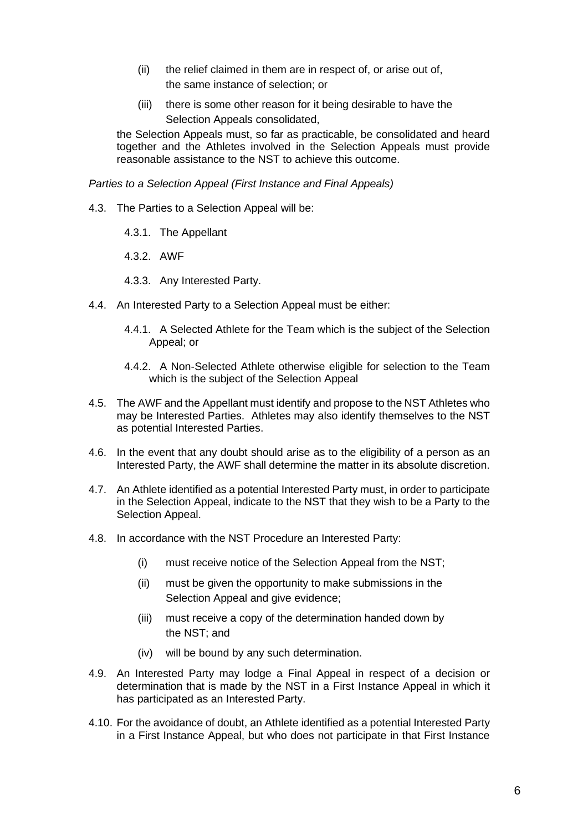- (ii) the relief claimed in them are in respect of, or arise out of, the same instance of selection; or
- (iii) there is some other reason for it being desirable to have the Selection Appeals consolidated,

the Selection Appeals must, so far as practicable, be consolidated and heard together and the Athletes involved in the Selection Appeals must provide reasonable assistance to the NST to achieve this outcome.

*Parties to a Selection Appeal (First Instance and Final Appeals)*

- 4.3. The Parties to a Selection Appeal will be:
	- 4.3.1. The Appellant
	- 4.3.2. AWF
	- 4.3.3. Any Interested Party.
- 4.4. An Interested Party to a Selection Appeal must be either:
	- 4.4.1. A Selected Athlete for the Team which is the subject of the Selection Appeal; or
	- 4.4.2. A Non-Selected Athlete otherwise eligible for selection to the Team which is the subject of the Selection Appeal
- 4.5. The AWF and the Appellant must identify and propose to the NST Athletes who may be Interested Parties. Athletes may also identify themselves to the NST as potential Interested Parties.
- 4.6. In the event that any doubt should arise as to the eligibility of a person as an Interested Party, the AWF shall determine the matter in its absolute discretion.
- 4.7. An Athlete identified as a potential Interested Party must, in order to participate in the Selection Appeal, indicate to the NST that they wish to be a Party to the Selection Appeal.
- 4.8. In accordance with the NST Procedure an Interested Party:
	- (i) must receive notice of the Selection Appeal from the NST;
	- (ii) must be given the opportunity to make submissions in the Selection Appeal and give evidence;
	- (iii) must receive a copy of the determination handed down by the NST; and
	- (iv) will be bound by any such determination.
- 4.9. An Interested Party may lodge a Final Appeal in respect of a decision or determination that is made by the NST in a First Instance Appeal in which it has participated as an Interested Party.
- 4.10. For the avoidance of doubt, an Athlete identified as a potential Interested Party in a First Instance Appeal, but who does not participate in that First Instance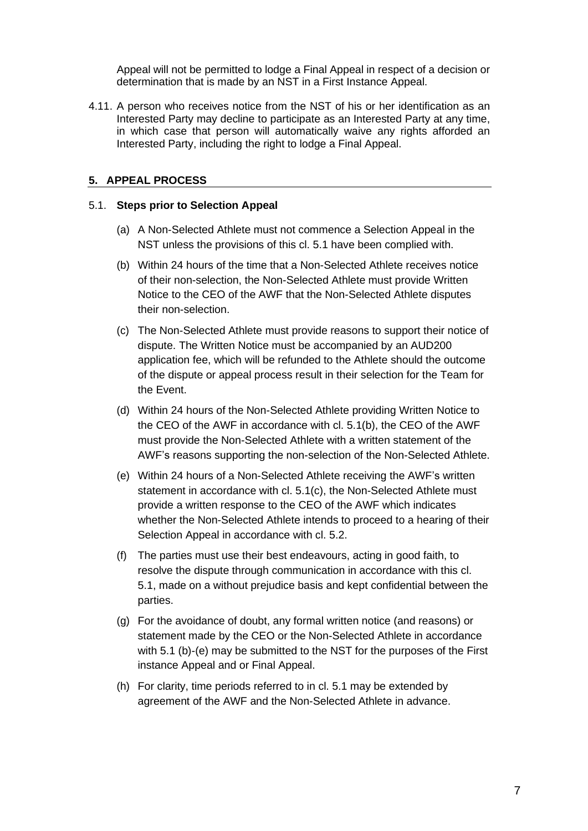Appeal will not be permitted to lodge a Final Appeal in respect of a decision or determination that is made by an NST in a First Instance Appeal.

4.11. A person who receives notice from the NST of his or her identification as an Interested Party may decline to participate as an Interested Party at any time, in which case that person will automatically waive any rights afforded an Interested Party, including the right to lodge a Final Appeal.

## <span id="page-6-0"></span>**5. APPEAL PROCESS**

#### <span id="page-6-1"></span>5.1. **Steps prior to Selection Appeal**

- (a) A Non-Selected Athlete must not commence a Selection Appeal in the NST unless the provisions of this cl. [5.1](#page-6-1) have been complied with.
- <span id="page-6-2"></span>(b) Within 24 hours of the time that a Non-Selected Athlete receives notice of their non-selection, the Non-Selected Athlete must provide Written Notice to the CEO of the AWF that the Non-Selected Athlete disputes their non-selection.
- (c) The Non-Selected Athlete must provide reasons to support their notice of dispute. The Written Notice must be accompanied by an AUD200 application fee, which will be refunded to the Athlete should the outcome of the dispute or appeal process result in their selection for the Team for the Event.
- (d) Within 24 hours of the Non-Selected Athlete providing Written Notice to the CEO of the AWF in accordance with cl. [5.1\(b\), t](#page-6-2)he CEO of the AWF must provide the Non-Selected Athlete with a written statement of the AWF's reasons supporting the non-selection of the Non-Selected Athlete.
- (e) Within 24 hours of a Non-Selected Athlete receiving the AWF's written statement in accordance with cl. 5.1(c), the Non-Selected Athlete must provide a written response to the CEO of the AWF which indicates whether the Non-Selected Athlete intends to proceed to a hearing of their Selection Appeal in accordance with cl. [5.2.](#page-7-0)
- (f) The parties must use their best endeavours, acting in good faith, to resolve the dispute through communication in accordance with this cl. [5.1, m](#page-6-1)ade on a without prejudice basis and kept confidential between the parties.
- (g) For the avoidance of doubt, any formal written notice (and reasons) or statement made by the CEO or the Non-Selected Athlete in accordance with 5.1 (b)-(e) may be submitted to the NST for the purposes of the First instance Appeal and or Final Appeal.
- (h) For clarity, time periods referred to in cl. 5.1 may be extended by agreement of the AWF and the Non-Selected Athlete in advance.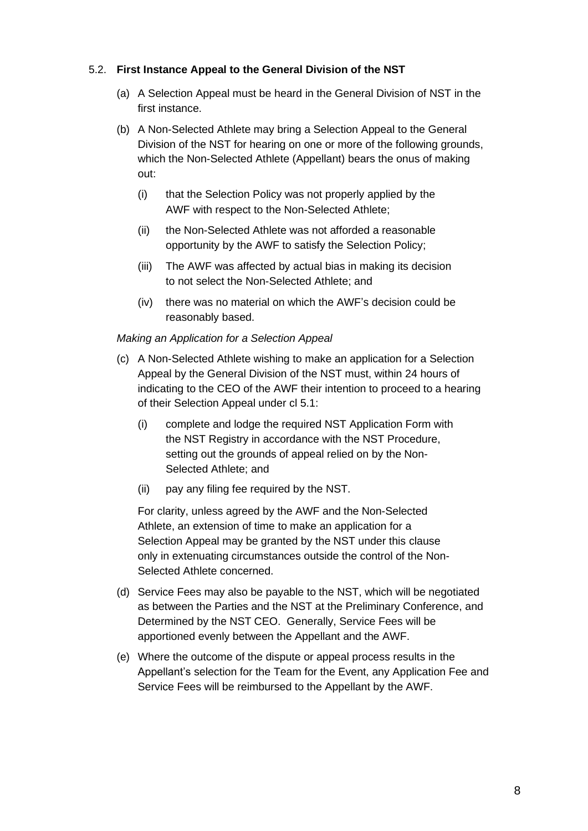## <span id="page-7-0"></span>5.2. **First Instance Appeal to the General Division of the NST**

- (a) A Selection Appeal must be heard in the General Division of NST in the first instance.
- (b) A Non-Selected Athlete may bring a Selection Appeal to the General Division of the NST for hearing on one or more of the following grounds, which the Non-Selected Athlete (Appellant) bears the onus of making out:
	- (i) that the Selection Policy was not properly applied by the AWF with respect to the Non-Selected Athlete;
	- (ii) the Non-Selected Athlete was not afforded a reasonable opportunity by the AWF to satisfy the Selection Policy;
	- (iii) The AWF was affected by actual bias in making its decision to not select the Non-Selected Athlete; and
	- (iv) there was no material on which the AWF's decision could be reasonably based.

## *Making an Application for a Selection Appeal*

- (c) A Non-Selected Athlete wishing to make an application for a Selection Appeal by the General Division of the NST must, within 24 hours of indicating to the CEO of the AWF their intention to proceed to a hearing of their Selection Appeal under cl 5.1:
	- (i) complete and lodge the required NST Application Form with the NST Registry in accordance with the NST Procedure, setting out the grounds of appeal relied on by the Non-Selected Athlete; and
	- (ii) pay any filing fee required by the NST.

For clarity, unless agreed by the AWF and the Non-Selected Athlete, an extension of time to make an application for a Selection Appeal may be granted by the NST under this clause only in extenuating circumstances outside the control of the Non-Selected Athlete concerned.

- (d) Service Fees may also be payable to the NST, which will be negotiated as between the Parties and the NST at the Preliminary Conference, and Determined by the NST CEO. Generally, Service Fees will be apportioned evenly between the Appellant and the AWF.
- (e) Where the outcome of the dispute or appeal process results in the Appellant's selection for the Team for the Event, any Application Fee and Service Fees will be reimbursed to the Appellant by the AWF.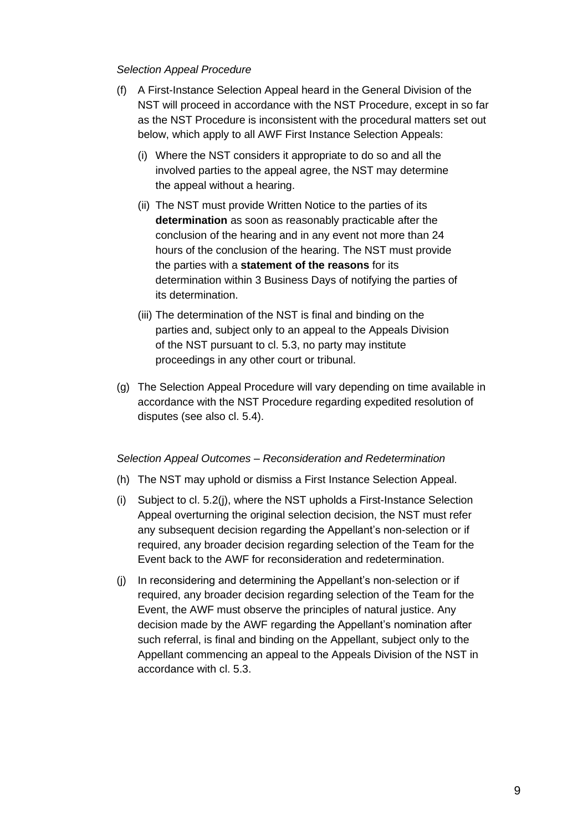## *Selection Appeal Procedure*

- (f) A First-Instance Selection Appeal heard in the General Division of the NST will proceed in accordance with the NST Procedure, except in so far as the NST Procedure is inconsistent with the procedural matters set out below, which apply to all AWF First Instance Selection Appeals:
	- (i) Where the NST considers it appropriate to do so and all the involved parties to the appeal agree, the NST may determine the appeal without a hearing.
	- (ii) The NST must provide Written Notice to the parties of its **determination** as soon as reasonably practicable after the conclusion of the hearing and in any event not more than 24 hours of the conclusion of the hearing. The NST must provide the parties with a **statement of the reasons** for its determination within 3 Business Days of notifying the parties of its determination.
	- (iii) The determination of the NST is final and binding on the parties and, subject only to an appeal to the Appeals Division of the NST pursuant to cl. [5.3, n](#page-9-0)o party may institute proceedings in any other court or tribunal.
- (g) The Selection Appeal Procedure will vary depending on time available in accordance with the NST Procedure regarding expedited resolution of disputes (see also cl. 5.4).

#### *Selection Appeal Outcomes – Reconsideration and Redetermination*

- (h) The NST may uphold or dismiss a First Instance Selection Appeal.
- (i) Subject to cl. 5.2(j), where the NST upholds a First-Instance Selection Appeal overturning the original selection decision, the NST must refer any subsequent decision regarding the Appellant's non-selection or if required, any broader decision regarding selection of the Team for the Event back to the AWF for reconsideration and redetermination.
- (j) In reconsidering and determining the Appellant's non-selection or if required, any broader decision regarding selection of the Team for the Event, the AWF must observe the principles of natural justice. Any decision made by the AWF regarding the Appellant's nomination after such referral, is final and binding on the Appellant, subject only to the Appellant commencing an appeal to the Appeals Division of the NST in accordance with cl. [5.3.](#page-9-0)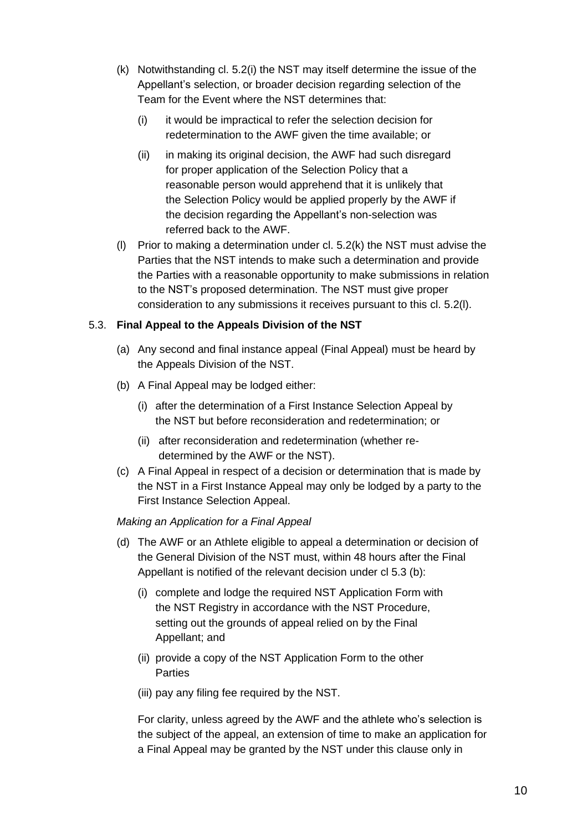- <span id="page-9-1"></span>(k) Notwithstanding cl. 5.2(i) the NST may itself determine the issue of the Appellant's selection, or broader decision regarding selection of the Team for the Event where the NST determines that:
	- (i) it would be impractical to refer the selection decision for redetermination to the AWF given the time available; or
	- (ii) in making its original decision, the AWF had such disregard for proper application of the Selection Policy that a reasonable person would apprehend that it is unlikely that the Selection Policy would be applied properly by the AWF if the decision regarding the Appellant's non-selection was referred back to the AWF.
- (l) Prior to making a determination under cl. 5.[2\(k\)](#page-9-1) the NST must advise the Parties that the NST intends to make such a determination and provide the Parties with a reasonable opportunity to make submissions in relation to the NST's proposed determination. The NST must give proper consideration to any submissions it receives pursuant to this cl. 5.2(l).

## <span id="page-9-0"></span>5.3. **Final Appeal to the Appeals Division of the NST**

- (a) Any second and final instance appeal (Final Appeal) must be heard by the Appeals Division of the NST.
- (b) A Final Appeal may be lodged either:
	- (i) after the determination of a First Instance Selection Appeal by the NST but before reconsideration and redetermination; or
	- (ii) after reconsideration and redetermination (whether redetermined by the AWF or the NST).
- (c) A Final Appeal in respect of a decision or determination that is made by the NST in a First Instance Appeal may only be lodged by a party to the First Instance Selection Appeal.

## *Making an Application for a Final Appeal*

- (d) The AWF or an Athlete eligible to appeal a determination or decision of the General Division of the NST must, within 48 hours after the Final Appellant is notified of the relevant decision under cl 5.3 (b):
	- (i) complete and lodge the required NST Application Form with the NST Registry in accordance with the NST Procedure, setting out the grounds of appeal relied on by the Final Appellant; and
	- (ii) provide a copy of the NST Application Form to the other **Parties**
	- (iii) pay any filing fee required by the NST.

For clarity, unless agreed by the AWF and the athlete who's selection is the subject of the appeal, an extension of time to make an application for a Final Appeal may be granted by the NST under this clause only in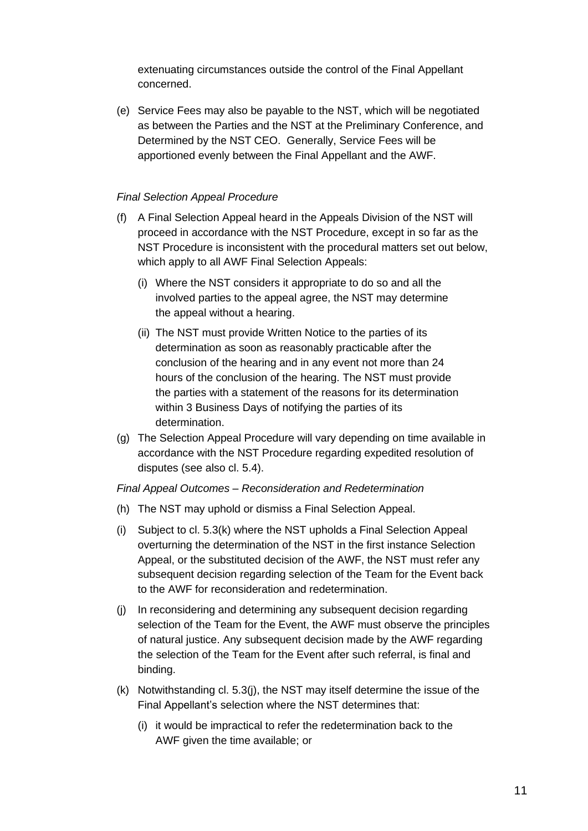extenuating circumstances outside the control of the Final Appellant concerned.

(e) Service Fees may also be payable to the NST, which will be negotiated as between the Parties and the NST at the Preliminary Conference, and Determined by the NST CEO. Generally, Service Fees will be apportioned evenly between the Final Appellant and the AWF.

## *Final Selection Appeal Procedure*

- (f) A Final Selection Appeal heard in the Appeals Division of the NST will proceed in accordance with the NST Procedure, except in so far as the NST Procedure is inconsistent with the procedural matters set out below, which apply to all AWF Final Selection Appeals:
	- (i) Where the NST considers it appropriate to do so and all the involved parties to the appeal agree, the NST may determine the appeal without a hearing.
	- (ii) The NST must provide Written Notice to the parties of its determination as soon as reasonably practicable after the conclusion of the hearing and in any event not more than 24 hours of the conclusion of the hearing. The NST must provide the parties with a statement of the reasons for its determination within 3 Business Days of notifying the parties of its determination.
- (g) The Selection Appeal Procedure will vary depending on time available in accordance with the NST Procedure regarding expedited resolution of disputes (see also cl. 5.4).

## *Final Appeal Outcomes – Reconsideration and Redetermination*

- <span id="page-10-0"></span>(h) The NST may uphold or dismiss a Final Selection Appeal.
- (i) Subject to cl. 5.3(k) where the NST upholds a Final Selection Appeal overturning the determination of the NST in the first instance Selection Appeal, or the substituted decision of the AWF, the NST must refer any subsequent decision regarding selection of the Team for the Event back to the AWF for reconsideration and redetermination.
- (j) In reconsidering and determining any subsequent decision regarding selection of the Team for the Event, the AWF must observe the principles of natural justice. Any subsequent decision made by the AWF regarding the selection of the Team for the Event after such referral, is final and binding.
- (k) Notwithstanding cl. [5.3\(j\), t](#page-10-0)he NST may itself determine the issue of the Final Appellant's selection where the NST determines that:
	- (i) it would be impractical to refer the redetermination back to the AWF given the time available; or